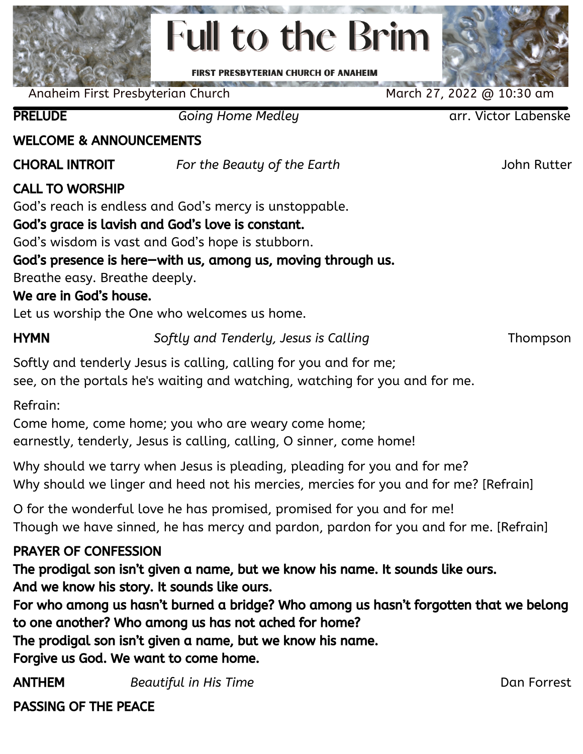# **Full to the Brim FIRST PRESBYTERIAN CHURCH OF ANAHEIM** Anaheim First Presbyterian Church March 27, 2022 @ 10:30 am PRELUDE *Going Home Medley* arr. Victor Labenske WELCOME & ANNOUNCEMENTS CHORAL INTROIT *For the Beauty of the Earth* John Rutter CALL TO WORSHIP God's reach is endless and God's mercy is unstoppable. God's grace is lavish and God's love is constant. God's wisdom is vast and God's hope is stubborn. God's presence is here—with us, among us, moving through us. Breathe easy. Breathe deeply.

We are in God's house.

Let us worship the One who welcomes us home.

HYMN *Softly and Tenderly, Jesus is Calling* Thompson

Softly and tenderly Jesus is calling, calling for you and for me; see, on the portals he's waiting and watching, watching for you and for me.

Refrain:

Come home, come home; you who are weary come home; earnestly, tenderly, Jesus is calling, calling, O sinner, come home!

Why should we tarry when Jesus is pleading, pleading for you and for me? Why should we linger and heed not his mercies, mercies for you and for me? [Refrain]

O for the wonderful love he has promised, promised for you and for me! Though we have sinned, he has mercy and pardon, pardon for you and for me. [Refrain]

## PRAYER OF CONFESSION

The prodigal son isn't given a name, but we know his name. It sounds like ours. And we know his story. It sounds like ours.

For who among us hasn't burned a bridge? Who among us hasn't forgotten that we belong to one another? Who among us has not ached for home?

The prodigal son isn't given a name, but we know his name.

Forgive us God. We want to come home.

ANTHEM *Beautiful in His Time* Dan Forrest

PASSING OF THE PEACE